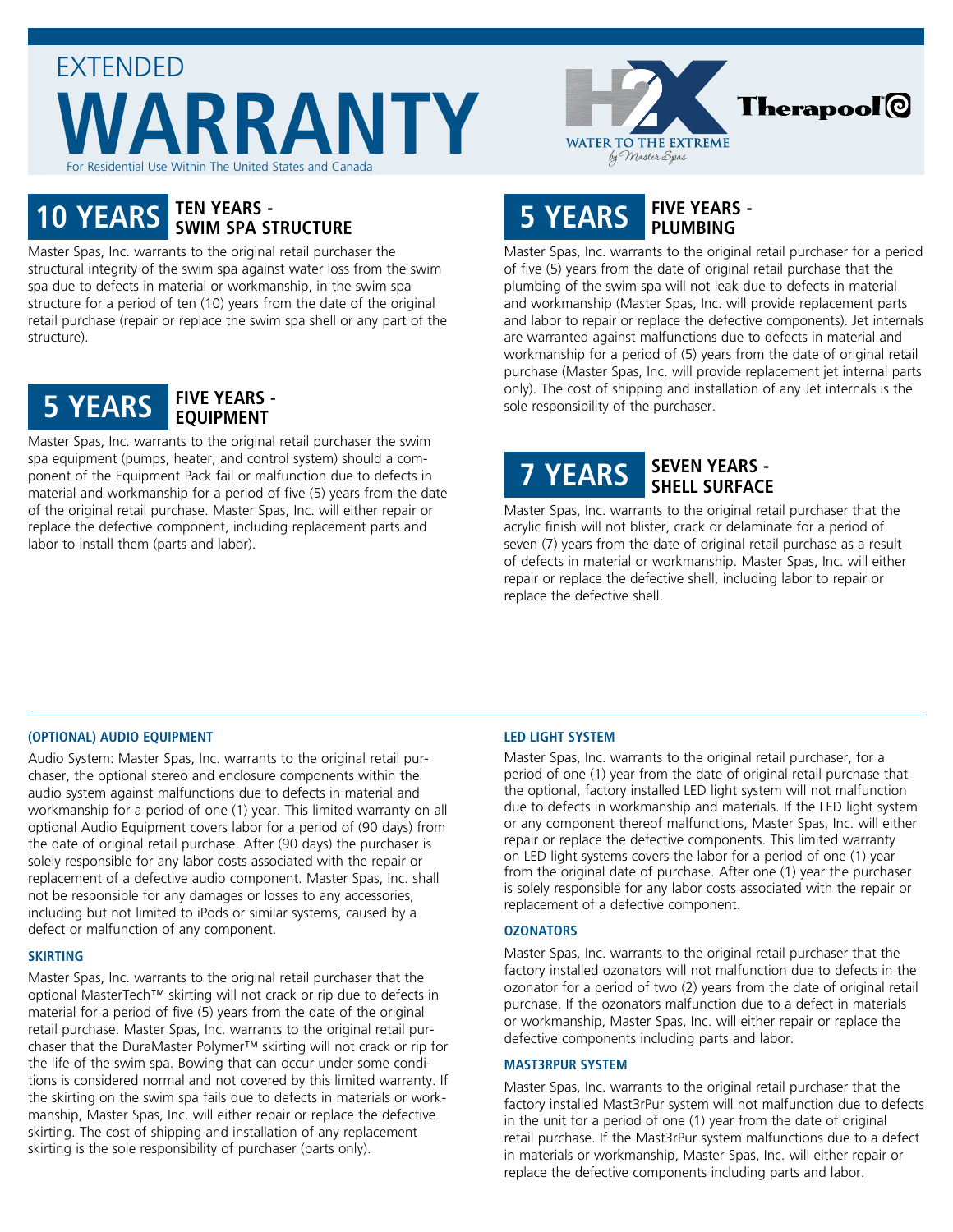



# **10 YEARS TEN YEARS - SWIM SPA STRUCTURE**

Master Spas, Inc. warrants to the original retail purchaser the structural integrity of the swim spa against water loss from the swim spa due to defects in material or workmanship, in the swim spa structure for a period of ten (10) years from the date of the original retail purchase (repair or replace the swim spa shell or any part of the structure).



Master Spas, Inc. warrants to the original retail purchaser the swim spa equipment (pumps, heater, and control system) should a component of the Equipment Pack fail or malfunction due to defects in material and workmanship for a period of five (5) years from the date of the original retail purchase. Master Spas, Inc. will either repair or replace the defective component, including replacement parts and labor to install them (parts and labor).

# **5 YEARS FIVE YEARS - PLUMBING**

Master Spas, Inc. warrants to the original retail purchaser for a period of five (5) years from the date of original retail purchase that the plumbing of the swim spa will not leak due to defects in material and workmanship (Master Spas, Inc. will provide replacement parts and labor to repair or replace the defective components). Jet internals are warranted against malfunctions due to defects in material and workmanship for a period of (5) years from the date of original retail purchase (Master Spas, Inc. will provide replacement jet internal parts only). The cost of shipping and installation of any Jet internals is the sole responsibility of the purchaser.

# **7 YEARS SEVEN YEARS - SHELL SURFACE**

Master Spas, Inc. warrants to the original retail purchaser that the acrylic finish will not blister, crack or delaminate for a period of seven (7) years from the date of original retail purchase as a result of defects in material or workmanship. Master Spas, Inc. will either repair or replace the defective shell, including labor to repair or replace the defective shell.

## **(OPTIONAL) AUDIO EQUIPMENT**

Audio System: Master Spas, Inc. warrants to the original retail purchaser, the optional stereo and enclosure components within the audio system against malfunctions due to defects in material and workmanship for a period of one (1) year. This limited warranty on all optional Audio Equipment covers labor for a period of (90 days) from the date of original retail purchase. After (90 days) the purchaser is solely responsible for any labor costs associated with the repair or replacement of a defective audio component. Master Spas, Inc. shall not be responsible for any damages or losses to any accessories, including but not limited to iPods or similar systems, caused by a defect or malfunction of any component.

#### **SKIRTING**

Master Spas, Inc. warrants to the original retail purchaser that the optional MasterTech™ skirting will not crack or rip due to defects in material for a period of five (5) years from the date of the original retail purchase. Master Spas, Inc. warrants to the original retail purchaser that the DuraMaster Polymer™ skirting will not crack or rip for the life of the swim spa. Bowing that can occur under some conditions is considered normal and not covered by this limited warranty. If the skirting on the swim spa fails due to defects in materials or workmanship, Master Spas, Inc. will either repair or replace the defective skirting. The cost of shipping and installation of any replacement skirting is the sole responsibility of purchaser (parts only).

## **LED LIGHT SYSTEM**

Master Spas, Inc. warrants to the original retail purchaser, for a period of one (1) year from the date of original retail purchase that the optional, factory installed LED light system will not malfunction due to defects in workmanship and materials. If the LED light system or any component thereof malfunctions, Master Spas, Inc. will either repair or replace the defective components. This limited warranty on LED light systems covers the labor for a period of one (1) year from the original date of purchase. After one (1) year the purchaser is solely responsible for any labor costs associated with the repair or replacement of a defective component.

#### **OZONATORS**

Master Spas, Inc. warrants to the original retail purchaser that the factory installed ozonators will not malfunction due to defects in the ozonator for a period of two (2) years from the date of original retail purchase. If the ozonators malfunction due to a defect in materials or workmanship, Master Spas, Inc. will either repair or replace the defective components including parts and labor.

#### **MAST3RPUR SYSTEM**

Master Spas, Inc. warrants to the original retail purchaser that the factory installed Mast3rPur system will not malfunction due to defects in the unit for a period of one (1) year from the date of original retail purchase. If the Mast3rPur system malfunctions due to a defect in materials or workmanship, Master Spas, Inc. will either repair or replace the defective components including parts and labor.